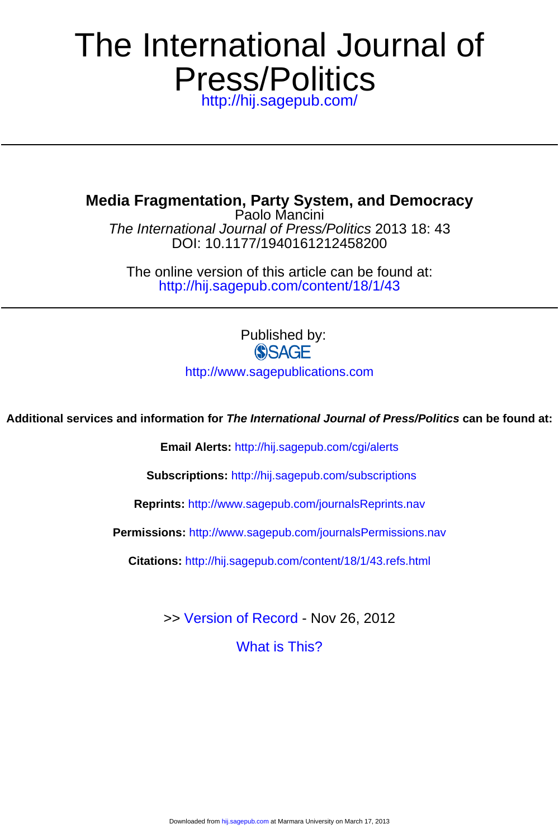# Press/Politics The International Journal of

<http://hij.sagepub.com/>

**Media Fragmentation, Party System, and Democracy**

DOI: 10.1177/1940161212458200 The International Journal of Press/Politics 2013 18: 43 Paolo Mancini

<http://hij.sagepub.com/content/18/1/43> The online version of this article can be found at:

> Published by: **SSAGE**

<http://www.sagepublications.com>

**Additional services and information for The International Journal of Press/Politics can be found at:**

**Email Alerts:** <http://hij.sagepub.com/cgi/alerts>

**Subscriptions:** <http://hij.sagepub.com/subscriptions>

**Reprints:** <http://www.sagepub.com/journalsReprints.nav>

**Permissions:** <http://www.sagepub.com/journalsPermissions.nav>

**Citations:** <http://hij.sagepub.com/content/18/1/43.refs.html>

>> [Version of Record -](http://hij.sagepub.com/content/18/1/43.full.pdf) Nov 26, 2012

[What is This?](http://online.sagepub.com/site/sphelp/vorhelp.xhtml)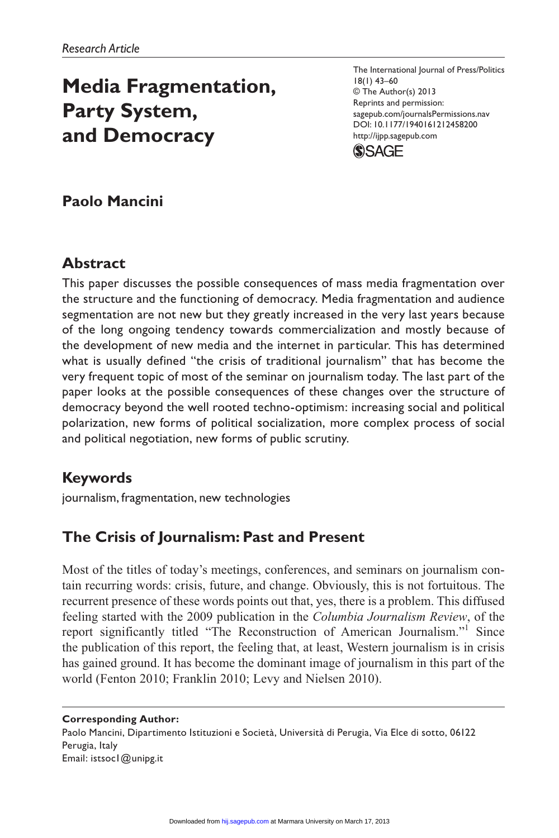# **Media Fragmentation, Party System, and Democracy**

The International Journal of Press/Politics 18(1) 43–60 © The Author(s) 2013 Reprints and permission: sagepub.com/journalsPermissions.nav DOI: 10.1177/1940161212458200 http://ijpp.sagepub.com



# **Paolo Mancini**

# **Abstract**

This paper discusses the possible consequences of mass media fragmentation over the structure and the functioning of democracy. Media fragmentation and audience segmentation are not new but they greatly increased in the very last years because of the long ongoing tendency towards commercialization and mostly because of the development of new media and the internet in particular. This has determined what is usually defined "the crisis of traditional journalism" that has become the very frequent topic of most of the seminar on journalism today. The last part of the paper looks at the possible consequences of these changes over the structure of democracy beyond the well rooted techno-optimism: increasing social and political polarization, new forms of political socialization, more complex process of social and political negotiation, new forms of public scrutiny.

## **Keywords**

journalism, fragmentation, new technologies

# **The Crisis of Journalism: Past and Present**

Most of the titles of today's meetings, conferences, and seminars on journalism contain recurring words: crisis, future, and change. Obviously, this is not fortuitous. The recurrent presence of these words points out that, yes, there is a problem. This diffused feeling started with the 2009 publication in the *Columbia Journalism Review*, of the report significantly titled "The Reconstruction of American Journalism."<sup>1</sup> Since the publication of this report, the feeling that, at least, Western journalism is in crisis has gained ground. It has become the dominant image of journalism in this part of the world (Fenton 2010; Franklin 2010; Levy and Nielsen 2010).

#### **Corresponding Author:**

Paolo Mancini, Dipartimento Istituzioni e Società, Università di Perugia, Via Elce di sotto, 06122 Perugia, Italy Email: istsoc1@unipg.it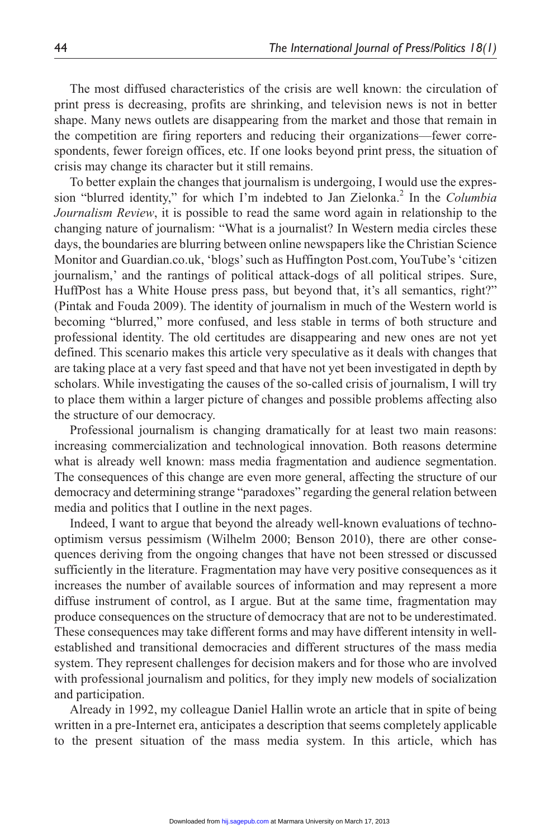The most diffused characteristics of the crisis are well known: the circulation of print press is decreasing, profits are shrinking, and television news is not in better shape. Many news outlets are disappearing from the market and those that remain in the competition are firing reporters and reducing their organizations—fewer correspondents, fewer foreign offices, etc. If one looks beyond print press, the situation of crisis may change its character but it still remains.

To better explain the changes that journalism is undergoing, I would use the expression "blurred identity," for which I'm indebted to Jan Zielonka.<sup>2</sup> In the *Columbia Journalism Review*, it is possible to read the same word again in relationship to the changing nature of journalism: "What is a journalist? In Western media circles these days, the boundaries are blurring between online newspapers like the Christian Science Monitor and Guardian.co.uk, 'blogs' such as Huffington Post.com, YouTube's 'citizen journalism,' and the rantings of political attack-dogs of all political stripes. Sure, HuffPost has a White House press pass, but beyond that, it's all semantics, right?" (Pintak and Fouda 2009). The identity of journalism in much of the Western world is becoming "blurred," more confused, and less stable in terms of both structure and professional identity. The old certitudes are disappearing and new ones are not yet defined. This scenario makes this article very speculative as it deals with changes that are taking place at a very fast speed and that have not yet been investigated in depth by scholars. While investigating the causes of the so-called crisis of journalism, I will try to place them within a larger picture of changes and possible problems affecting also the structure of our democracy.

Professional journalism is changing dramatically for at least two main reasons: increasing commercialization and technological innovation. Both reasons determine what is already well known: mass media fragmentation and audience segmentation. The consequences of this change are even more general, affecting the structure of our democracy and determining strange "paradoxes" regarding the general relation between media and politics that I outline in the next pages.

Indeed, I want to argue that beyond the already well-known evaluations of technooptimism versus pessimism (Wilhelm 2000; Benson 2010), there are other consequences deriving from the ongoing changes that have not been stressed or discussed sufficiently in the literature. Fragmentation may have very positive consequences as it increases the number of available sources of information and may represent a more diffuse instrument of control, as I argue. But at the same time, fragmentation may produce consequences on the structure of democracy that are not to be underestimated. These consequences may take different forms and may have different intensity in wellestablished and transitional democracies and different structures of the mass media system. They represent challenges for decision makers and for those who are involved with professional journalism and politics, for they imply new models of socialization and participation.

Already in 1992, my colleague Daniel Hallin wrote an article that in spite of being written in a pre-Internet era, anticipates a description that seems completely applicable to the present situation of the mass media system. In this article, which has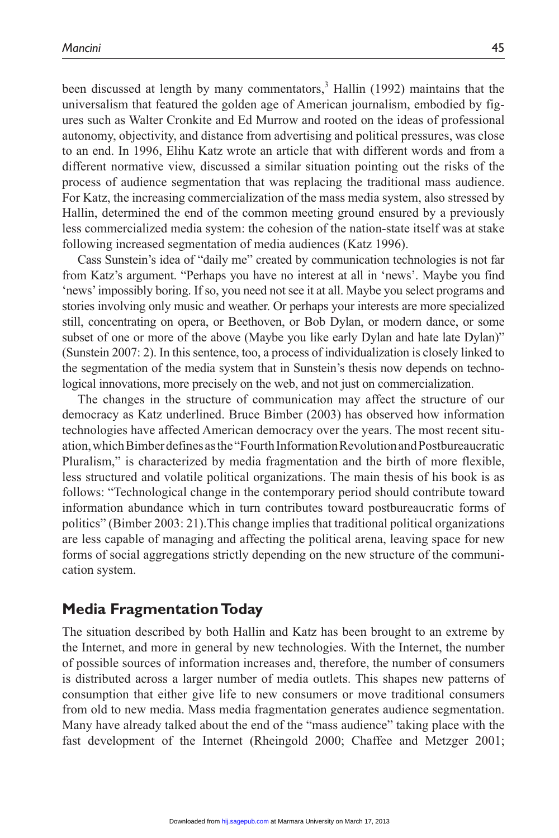been discussed at length by many commentators, $3$  Hallin (1992) maintains that the universalism that featured the golden age of American journalism, embodied by figures such as Walter Cronkite and Ed Murrow and rooted on the ideas of professional autonomy, objectivity, and distance from advertising and political pressures, was close to an end. In 1996, Elihu Katz wrote an article that with different words and from a different normative view, discussed a similar situation pointing out the risks of the process of audience segmentation that was replacing the traditional mass audience. For Katz, the increasing commercialization of the mass media system, also stressed by Hallin, determined the end of the common meeting ground ensured by a previously less commercialized media system: the cohesion of the nation-state itself was at stake following increased segmentation of media audiences (Katz 1996).

Cass Sunstein's idea of "daily me" created by communication technologies is not far from Katz's argument. "Perhaps you have no interest at all in 'news'. Maybe you find 'news' impossibly boring. If so, you need not see it at all. Maybe you select programs and stories involving only music and weather. Or perhaps your interests are more specialized still, concentrating on opera, or Beethoven, or Bob Dylan, or modern dance, or some subset of one or more of the above (Maybe you like early Dylan and hate late Dylan)" (Sunstein 2007: 2). In this sentence, too, a process of individualization is closely linked to the segmentation of the media system that in Sunstein's thesis now depends on technological innovations, more precisely on the web, and not just on commercialization.

The changes in the structure of communication may affect the structure of our democracy as Katz underlined. Bruce Bimber (2003) has observed how information technologies have affected American democracy over the years. The most recent situation, which Bimber defines as the "Fourth Information Revolution and Postbureaucratic Pluralism," is characterized by media fragmentation and the birth of more flexible, less structured and volatile political organizations. The main thesis of his book is as follows: "Technological change in the contemporary period should contribute toward information abundance which in turn contributes toward postbureaucratic forms of politics" (Bimber 2003: 21).This change implies that traditional political organizations are less capable of managing and affecting the political arena, leaving space for new forms of social aggregations strictly depending on the new structure of the communication system.

#### **Media Fragmentation Today**

The situation described by both Hallin and Katz has been brought to an extreme by the Internet, and more in general by new technologies. With the Internet, the number of possible sources of information increases and, therefore, the number of consumers is distributed across a larger number of media outlets. This shapes new patterns of consumption that either give life to new consumers or move traditional consumers from old to new media. Mass media fragmentation generates audience segmentation. Many have already talked about the end of the "mass audience" taking place with the fast development of the Internet (Rheingold 2000; Chaffee and Metzger 2001;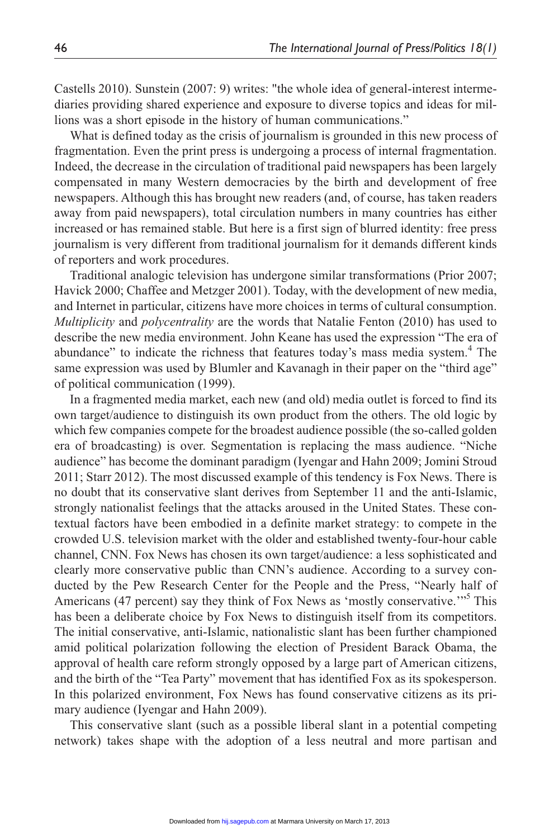Castells 2010). Sunstein (2007: 9) writes: "the whole idea of general-interest intermediaries providing shared experience and exposure to diverse topics and ideas for millions was a short episode in the history of human communications."

What is defined today as the crisis of journalism is grounded in this new process of fragmentation. Even the print press is undergoing a process of internal fragmentation. Indeed, the decrease in the circulation of traditional paid newspapers has been largely compensated in many Western democracies by the birth and development of free newspapers. Although this has brought new readers (and, of course, has taken readers away from paid newspapers), total circulation numbers in many countries has either increased or has remained stable. But here is a first sign of blurred identity: free press journalism is very different from traditional journalism for it demands different kinds of reporters and work procedures.

Traditional analogic television has undergone similar transformations (Prior 2007; Havick 2000; Chaffee and Metzger 2001). Today, with the development of new media, and Internet in particular, citizens have more choices in terms of cultural consumption. *Multiplicity* and *polycentrality* are the words that Natalie Fenton (2010) has used to describe the new media environment. John Keane has used the expression "The era of abundance" to indicate the richness that features today's mass media system.<sup>4</sup> The same expression was used by Blumler and Kavanagh in their paper on the "third age" of political communication (1999).

In a fragmented media market, each new (and old) media outlet is forced to find its own target/audience to distinguish its own product from the others. The old logic by which few companies compete for the broadest audience possible (the so-called golden era of broadcasting) is over. Segmentation is replacing the mass audience. "Niche audience" has become the dominant paradigm (Iyengar and Hahn 2009; Jomini Stroud 2011; Starr 2012). The most discussed example of this tendency is Fox News. There is no doubt that its conservative slant derives from September 11 and the anti-Islamic, strongly nationalist feelings that the attacks aroused in the United States. These contextual factors have been embodied in a definite market strategy: to compete in the crowded U.S. television market with the older and established twenty-four-hour cable channel, CNN. Fox News has chosen its own target/audience: a less sophisticated and clearly more conservative public than CNN's audience. According to a survey conducted by the Pew Research Center for the People and the Press, "Nearly half of Americans (47 percent) say they think of Fox News as 'mostly conservative."<sup>5</sup> This has been a deliberate choice by Fox News to distinguish itself from its competitors. The initial conservative, anti-Islamic, nationalistic slant has been further championed amid political polarization following the election of President Barack Obama, the approval of health care reform strongly opposed by a large part of American citizens, and the birth of the "Tea Party" movement that has identified Fox as its spokesperson. In this polarized environment, Fox News has found conservative citizens as its primary audience (Iyengar and Hahn 2009).

This conservative slant (such as a possible liberal slant in a potential competing network) takes shape with the adoption of a less neutral and more partisan and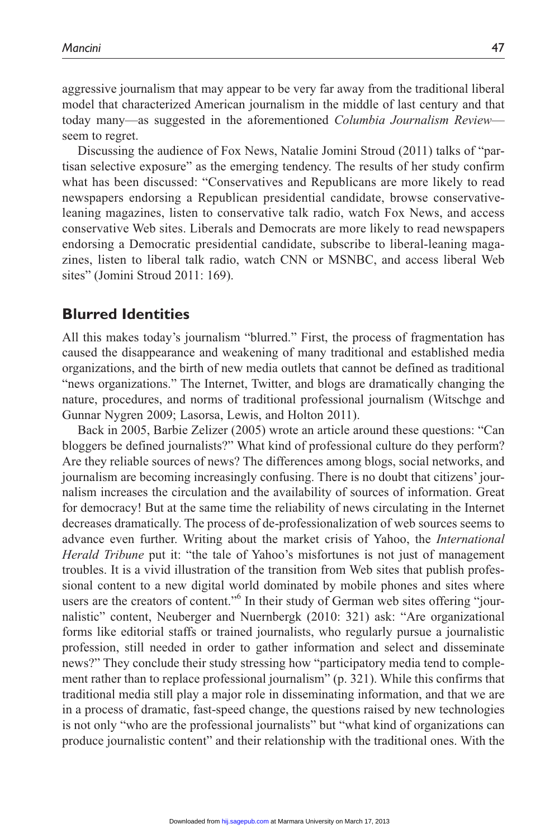aggressive journalism that may appear to be very far away from the traditional liberal model that characterized American journalism in the middle of last century and that today many—as suggested in the aforementioned *Columbia Journalism Review* seem to regret.

Discussing the audience of Fox News, Natalie Jomini Stroud (2011) talks of "partisan selective exposure" as the emerging tendency. The results of her study confirm what has been discussed: "Conservatives and Republicans are more likely to read newspapers endorsing a Republican presidential candidate, browse conservativeleaning magazines, listen to conservative talk radio, watch Fox News, and access conservative Web sites. Liberals and Democrats are more likely to read newspapers endorsing a Democratic presidential candidate, subscribe to liberal-leaning magazines, listen to liberal talk radio, watch CNN or MSNBC, and access liberal Web sites" (Jomini Stroud 2011: 169).

### **Blurred Identities**

All this makes today's journalism "blurred." First, the process of fragmentation has caused the disappearance and weakening of many traditional and established media organizations, and the birth of new media outlets that cannot be defined as traditional "news organizations." The Internet, Twitter, and blogs are dramatically changing the nature, procedures, and norms of traditional professional journalism (Witschge and Gunnar Nygren 2009; Lasorsa, Lewis, and Holton 2011).

Back in 2005, Barbie Zelizer (2005) wrote an article around these questions: "Can bloggers be defined journalists?" What kind of professional culture do they perform? Are they reliable sources of news? The differences among blogs, social networks, and journalism are becoming increasingly confusing. There is no doubt that citizens' journalism increases the circulation and the availability of sources of information. Great for democracy! But at the same time the reliability of news circulating in the Internet decreases dramatically. The process of de-professionalization of web sources seems to advance even further. Writing about the market crisis of Yahoo, the *International Herald Tribune* put it: "the tale of Yahoo's misfortunes is not just of management troubles. It is a vivid illustration of the transition from Web sites that publish professional content to a new digital world dominated by mobile phones and sites where users are the creators of content."<sup>6</sup> In their study of German web sites offering "journalistic" content, Neuberger and Nuernbergk (2010: 321) ask: "Are organizational forms like editorial staffs or trained journalists, who regularly pursue a journalistic profession, still needed in order to gather information and select and disseminate news?" They conclude their study stressing how "participatory media tend to complement rather than to replace professional journalism" (p. 321). While this confirms that traditional media still play a major role in disseminating information, and that we are in a process of dramatic, fast-speed change, the questions raised by new technologies is not only "who are the professional journalists" but "what kind of organizations can produce journalistic content" and their relationship with the traditional ones. With the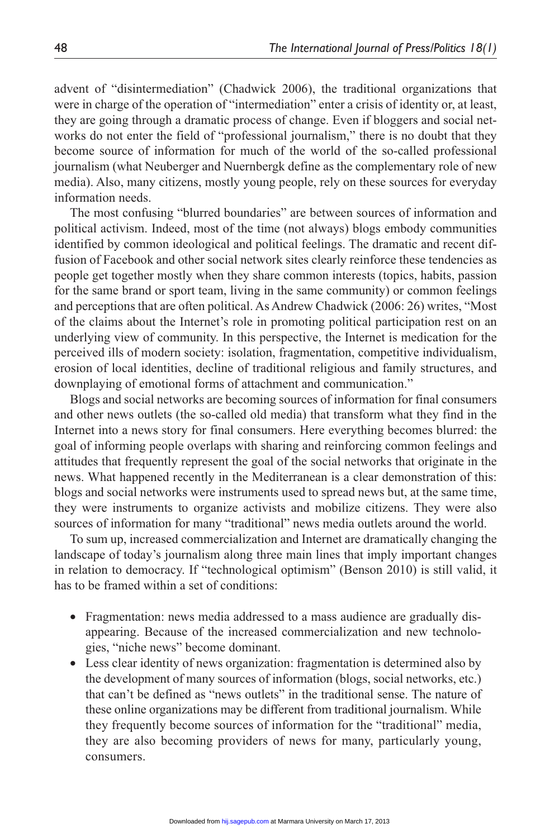advent of "disintermediation" (Chadwick 2006), the traditional organizations that were in charge of the operation of "intermediation" enter a crisis of identity or, at least, they are going through a dramatic process of change. Even if bloggers and social networks do not enter the field of "professional journalism," there is no doubt that they become source of information for much of the world of the so-called professional journalism (what Neuberger and Nuernbergk define as the complementary role of new media). Also, many citizens, mostly young people, rely on these sources for everyday information needs.

The most confusing "blurred boundaries" are between sources of information and political activism. Indeed, most of the time (not always) blogs embody communities identified by common ideological and political feelings. The dramatic and recent diffusion of Facebook and other social network sites clearly reinforce these tendencies as people get together mostly when they share common interests (topics, habits, passion for the same brand or sport team, living in the same community) or common feelings and perceptions that are often political. As Andrew Chadwick (2006: 26) writes, "Most of the claims about the Internet's role in promoting political participation rest on an underlying view of community. In this perspective, the Internet is medication for the perceived ills of modern society: isolation, fragmentation, competitive individualism, erosion of local identities, decline of traditional religious and family structures, and downplaying of emotional forms of attachment and communication."

Blogs and social networks are becoming sources of information for final consumers and other news outlets (the so-called old media) that transform what they find in the Internet into a news story for final consumers. Here everything becomes blurred: the goal of informing people overlaps with sharing and reinforcing common feelings and attitudes that frequently represent the goal of the social networks that originate in the news. What happened recently in the Mediterranean is a clear demonstration of this: blogs and social networks were instruments used to spread news but, at the same time, they were instruments to organize activists and mobilize citizens. They were also sources of information for many "traditional" news media outlets around the world.

To sum up, increased commercialization and Internet are dramatically changing the landscape of today's journalism along three main lines that imply important changes in relation to democracy. If "technological optimism" (Benson 2010) is still valid, it has to be framed within a set of conditions:

- Fragmentation: news media addressed to a mass audience are gradually disappearing. Because of the increased commercialization and new technologies, "niche news" become dominant.
- Less clear identity of news organization: fragmentation is determined also by the development of many sources of information (blogs, social networks, etc.) that can't be defined as "news outlets" in the traditional sense. The nature of these online organizations may be different from traditional journalism. While they frequently become sources of information for the "traditional" media, they are also becoming providers of news for many, particularly young, consumers.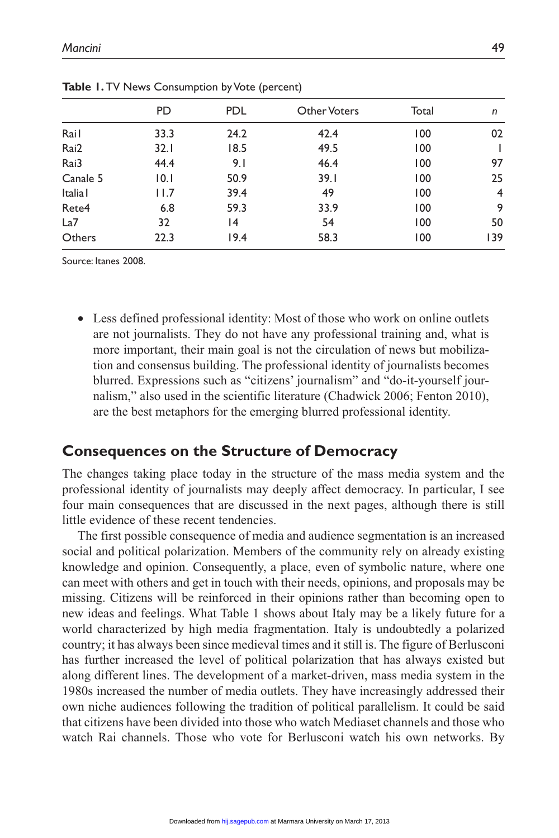|          | <b>PD</b> | <b>PDL</b> | <b>Other Voters</b> | Total | n              |
|----------|-----------|------------|---------------------|-------|----------------|
| Rail     | 33.3      | 24.2       | 42.4                | 100   | 02             |
| Rai2     | 32.1      | 18.5       | 49.5                | 100   |                |
| Rai3     | 44.4      | 9.1        | 46.4                | 100   | 97             |
| Canale 5 | 10.1      | 50.9       | 39.1                | 100   | 25             |
| Italia I | 11.7      | 39.4       | 49                  | 100   | $\overline{4}$ |
| Rete4    | 6.8       | 59.3       | 33.9                | 100   | 9              |
| La7      | 32        | 14         | 54                  | 100   | 50             |
| Others   | 22.3      | 19.4       | 58.3                | 100   | 139            |
|          |           |            |                     |       |                |

Table 1. TV News Consumption by Vote (percent)

Source: Itanes 2008.

• Less defined professional identity: Most of those who work on online outlets are not journalists. They do not have any professional training and, what is more important, their main goal is not the circulation of news but mobilization and consensus building. The professional identity of journalists becomes blurred. Expressions such as "citizens' journalism" and "do-it-yourself journalism," also used in the scientific literature (Chadwick 2006; Fenton 2010), are the best metaphors for the emerging blurred professional identity.

#### **Consequences on the Structure of Democracy**

The changes taking place today in the structure of the mass media system and the professional identity of journalists may deeply affect democracy. In particular, I see four main consequences that are discussed in the next pages, although there is still little evidence of these recent tendencies.

The first possible consequence of media and audience segmentation is an increased social and political polarization. Members of the community rely on already existing knowledge and opinion. Consequently, a place, even of symbolic nature, where one can meet with others and get in touch with their needs, opinions, and proposals may be missing. Citizens will be reinforced in their opinions rather than becoming open to new ideas and feelings. What Table 1 shows about Italy may be a likely future for a world characterized by high media fragmentation. Italy is undoubtedly a polarized country; it has always been since medieval times and it still is. The figure of Berlusconi has further increased the level of political polarization that has always existed but along different lines. The development of a market-driven, mass media system in the 1980s increased the number of media outlets. They have increasingly addressed their own niche audiences following the tradition of political parallelism. It could be said that citizens have been divided into those who watch Mediaset channels and those who watch Rai channels. Those who vote for Berlusconi watch his own networks. By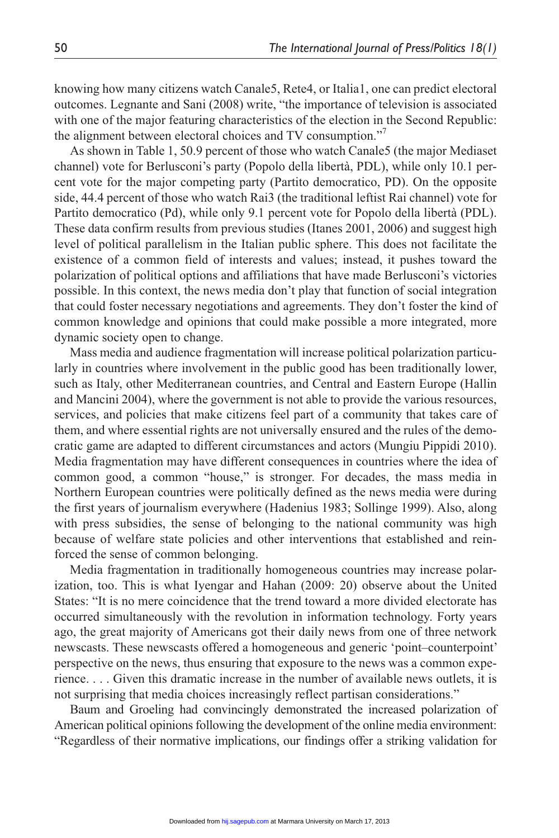knowing how many citizens watch Canale5, Rete4, or Italia1, one can predict electoral outcomes. Legnante and Sani (2008) write, "the importance of television is associated with one of the major featuring characteristics of the election in the Second Republic: the alignment between electoral choices and TV consumption."<sup>7</sup>

As shown in Table 1, 50.9 percent of those who watch Canale5 (the major Mediaset channel) vote for Berlusconi's party (Popolo della libertà, PDL), while only 10.1 percent vote for the major competing party (Partito democratico, PD). On the opposite side, 44.4 percent of those who watch Rai3 (the traditional leftist Rai channel) vote for Partito democratico (Pd), while only 9.1 percent vote for Popolo della libertà (PDL). These data confirm results from previous studies (Itanes 2001, 2006) and suggest high level of political parallelism in the Italian public sphere. This does not facilitate the existence of a common field of interests and values; instead, it pushes toward the polarization of political options and affiliations that have made Berlusconi's victories possible. In this context, the news media don't play that function of social integration that could foster necessary negotiations and agreements. They don't foster the kind of common knowledge and opinions that could make possible a more integrated, more dynamic society open to change.

Mass media and audience fragmentation will increase political polarization particularly in countries where involvement in the public good has been traditionally lower, such as Italy, other Mediterranean countries, and Central and Eastern Europe (Hallin and Mancini 2004), where the government is not able to provide the various resources, services, and policies that make citizens feel part of a community that takes care of them, and where essential rights are not universally ensured and the rules of the democratic game are adapted to different circumstances and actors (Mungiu Pippidi 2010). Media fragmentation may have different consequences in countries where the idea of common good, a common "house," is stronger. For decades, the mass media in Northern European countries were politically defined as the news media were during the first years of journalism everywhere (Hadenius 1983; Sollinge 1999). Also, along with press subsidies, the sense of belonging to the national community was high because of welfare state policies and other interventions that established and reinforced the sense of common belonging.

Media fragmentation in traditionally homogeneous countries may increase polarization, too. This is what Iyengar and Hahan (2009: 20) observe about the United States: "It is no mere coincidence that the trend toward a more divided electorate has occurred simultaneously with the revolution in information technology. Forty years ago, the great majority of Americans got their daily news from one of three network newscasts. These newscasts offered a homogeneous and generic 'point–counterpoint' perspective on the news, thus ensuring that exposure to the news was a common experience. . . . Given this dramatic increase in the number of available news outlets, it is not surprising that media choices increasingly reflect partisan considerations."

Baum and Groeling had convincingly demonstrated the increased polarization of American political opinions following the development of the online media environment: "Regardless of their normative implications, our findings offer a striking validation for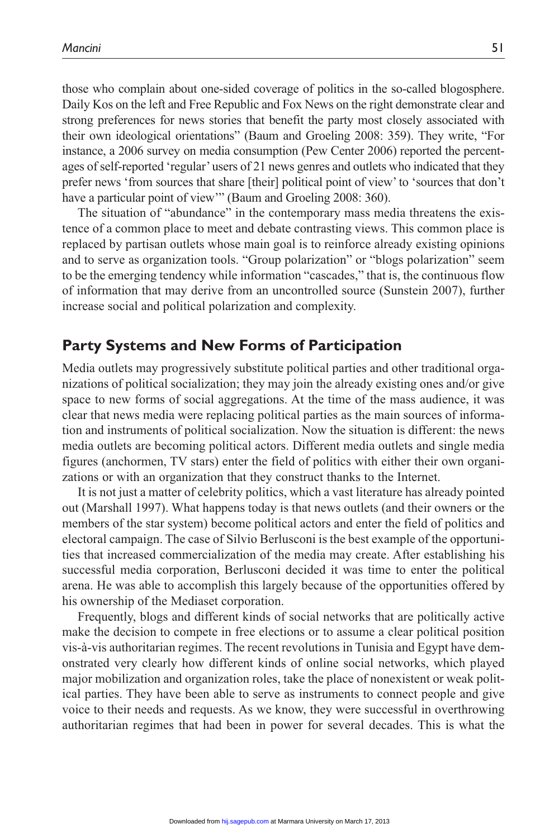those who complain about one-sided coverage of politics in the so-called blogosphere. Daily Kos on the left and Free Republic and Fox News on the right demonstrate clear and strong preferences for news stories that benefit the party most closely associated with their own ideological orientations" (Baum and Groeling 2008: 359). They write, "For instance, a 2006 survey on media consumption (Pew Center 2006) reported the percentages of self-reported 'regular' users of 21 news genres and outlets who indicated that they prefer news 'from sources that share [their] political point of view' to 'sources that don't have a particular point of view'" (Baum and Groeling 2008: 360).

The situation of "abundance" in the contemporary mass media threatens the existence of a common place to meet and debate contrasting views. This common place is replaced by partisan outlets whose main goal is to reinforce already existing opinions and to serve as organization tools. "Group polarization" or "blogs polarization" seem to be the emerging tendency while information "cascades," that is, the continuous flow of information that may derive from an uncontrolled source (Sunstein 2007), further increase social and political polarization and complexity.

### **Party Systems and New Forms of Participation**

Media outlets may progressively substitute political parties and other traditional organizations of political socialization; they may join the already existing ones and/or give space to new forms of social aggregations. At the time of the mass audience, it was clear that news media were replacing political parties as the main sources of information and instruments of political socialization. Now the situation is different: the news media outlets are becoming political actors. Different media outlets and single media figures (anchormen, TV stars) enter the field of politics with either their own organizations or with an organization that they construct thanks to the Internet.

It is not just a matter of celebrity politics, which a vast literature has already pointed out (Marshall 1997). What happens today is that news outlets (and their owners or the members of the star system) become political actors and enter the field of politics and electoral campaign. The case of Silvio Berlusconi is the best example of the opportunities that increased commercialization of the media may create. After establishing his successful media corporation, Berlusconi decided it was time to enter the political arena. He was able to accomplish this largely because of the opportunities offered by his ownership of the Mediaset corporation.

Frequently, blogs and different kinds of social networks that are politically active make the decision to compete in free elections or to assume a clear political position vis-à-vis authoritarian regimes. The recent revolutions in Tunisia and Egypt have demonstrated very clearly how different kinds of online social networks, which played major mobilization and organization roles, take the place of nonexistent or weak political parties. They have been able to serve as instruments to connect people and give voice to their needs and requests. As we know, they were successful in overthrowing authoritarian regimes that had been in power for several decades. This is what the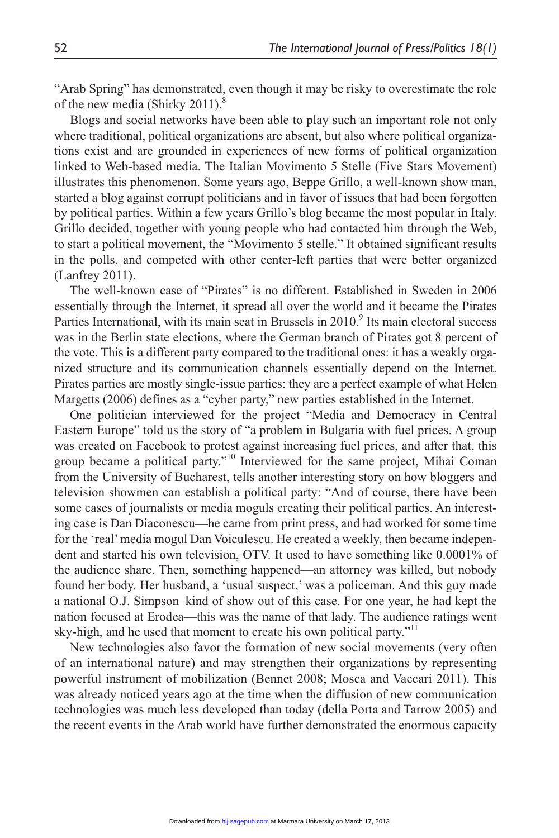"Arab Spring" has demonstrated, even though it may be risky to overestimate the role of the new media (Shirky 2011). $8$ 

Blogs and social networks have been able to play such an important role not only where traditional, political organizations are absent, but also where political organizations exist and are grounded in experiences of new forms of political organization linked to Web-based media. The Italian Movimento 5 Stelle (Five Stars Movement) illustrates this phenomenon. Some years ago, Beppe Grillo, a well-known show man, started a blog against corrupt politicians and in favor of issues that had been forgotten by political parties. Within a few years Grillo's blog became the most popular in Italy. Grillo decided, together with young people who had contacted him through the Web, to start a political movement, the "Movimento 5 stelle." It obtained significant results in the polls, and competed with other center-left parties that were better organized (Lanfrey 2011).

The well-known case of "Pirates" is no different. Established in Sweden in 2006 essentially through the Internet, it spread all over the world and it became the Pirates Parties International, with its main seat in Brussels in 2010.<sup>9</sup> Its main electoral success was in the Berlin state elections, where the German branch of Pirates got 8 percent of the vote. This is a different party compared to the traditional ones: it has a weakly organized structure and its communication channels essentially depend on the Internet. Pirates parties are mostly single-issue parties: they are a perfect example of what Helen Margetts (2006) defines as a "cyber party," new parties established in the Internet.

One politician interviewed for the project "Media and Democracy in Central Eastern Europe" told us the story of "a problem in Bulgaria with fuel prices. A group was created on Facebook to protest against increasing fuel prices, and after that, this group became a political party."10 Interviewed for the same project, Mihai Coman from the University of Bucharest, tells another interesting story on how bloggers and television showmen can establish a political party: "And of course, there have been some cases of journalists or media moguls creating their political parties. An interesting case is Dan Diaconescu—he came from print press, and had worked for some time for the 'real' media mogul Dan Voiculescu. He created a weekly, then became independent and started his own television, OTV. It used to have something like 0.0001% of the audience share. Then, something happened—an attorney was killed, but nobody found her body. Her husband, a 'usual suspect,' was a policeman. And this guy made a national O.J. Simpson–kind of show out of this case. For one year, he had kept the nation focused at Erodea—this was the name of that lady. The audience ratings went sky-high, and he used that moment to create his own political party."<sup>11</sup>

New technologies also favor the formation of new social movements (very often of an international nature) and may strengthen their organizations by representing powerful instrument of mobilization (Bennet 2008; Mosca and Vaccari 2011). This was already noticed years ago at the time when the diffusion of new communication technologies was much less developed than today (della Porta and Tarrow 2005) and the recent events in the Arab world have further demonstrated the enormous capacity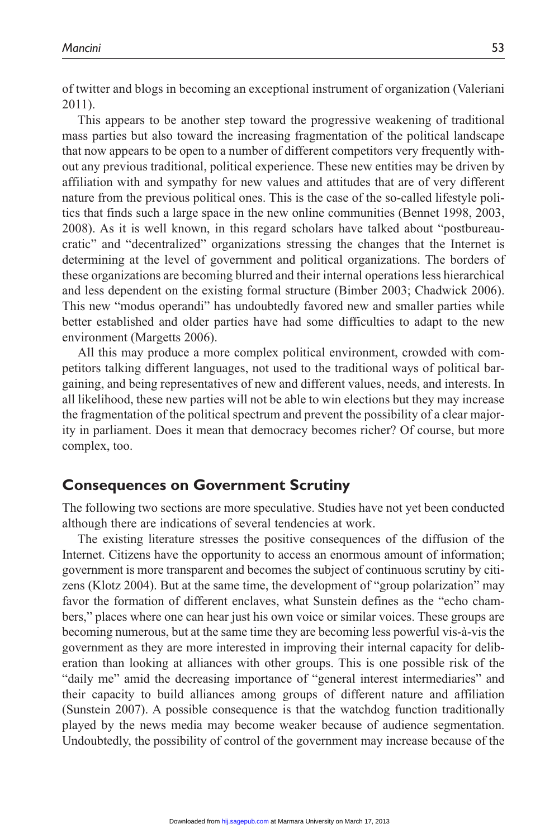of twitter and blogs in becoming an exceptional instrument of organization (Valeriani 2011).

This appears to be another step toward the progressive weakening of traditional mass parties but also toward the increasing fragmentation of the political landscape that now appears to be open to a number of different competitors very frequently without any previous traditional, political experience. These new entities may be driven by affiliation with and sympathy for new values and attitudes that are of very different nature from the previous political ones. This is the case of the so-called lifestyle politics that finds such a large space in the new online communities (Bennet 1998, 2003, 2008). As it is well known, in this regard scholars have talked about "postbureaucratic" and "decentralized" organizations stressing the changes that the Internet is determining at the level of government and political organizations. The borders of these organizations are becoming blurred and their internal operations less hierarchical and less dependent on the existing formal structure (Bimber 2003; Chadwick 2006). This new "modus operandi" has undoubtedly favored new and smaller parties while better established and older parties have had some difficulties to adapt to the new environment (Margetts 2006).

All this may produce a more complex political environment, crowded with competitors talking different languages, not used to the traditional ways of political bargaining, and being representatives of new and different values, needs, and interests. In all likelihood, these new parties will not be able to win elections but they may increase the fragmentation of the political spectrum and prevent the possibility of a clear majority in parliament. Does it mean that democracy becomes richer? Of course, but more complex, too.

#### **Consequences on Government Scrutiny**

The following two sections are more speculative. Studies have not yet been conducted although there are indications of several tendencies at work.

The existing literature stresses the positive consequences of the diffusion of the Internet. Citizens have the opportunity to access an enormous amount of information; government is more transparent and becomes the subject of continuous scrutiny by citizens (Klotz 2004). But at the same time, the development of "group polarization" may favor the formation of different enclaves, what Sunstein defines as the "echo chambers," places where one can hear just his own voice or similar voices. These groups are becoming numerous, but at the same time they are becoming less powerful vis-à-vis the government as they are more interested in improving their internal capacity for deliberation than looking at alliances with other groups. This is one possible risk of the "daily me" amid the decreasing importance of "general interest intermediaries" and their capacity to build alliances among groups of different nature and affiliation (Sunstein 2007). A possible consequence is that the watchdog function traditionally played by the news media may become weaker because of audience segmentation. Undoubtedly, the possibility of control of the government may increase because of the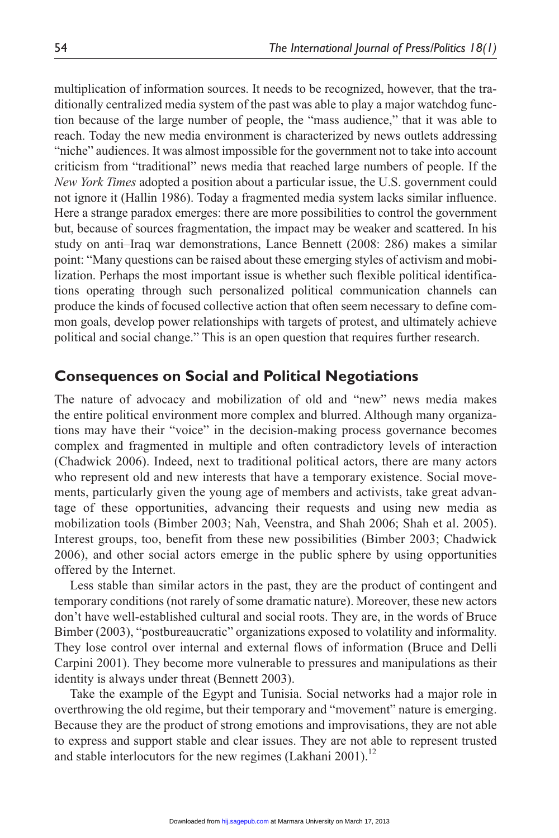multiplication of information sources. It needs to be recognized, however, that the traditionally centralized media system of the past was able to play a major watchdog function because of the large number of people, the "mass audience," that it was able to reach. Today the new media environment is characterized by news outlets addressing "niche" audiences. It was almost impossible for the government not to take into account criticism from "traditional" news media that reached large numbers of people. If the *New York Times* adopted a position about a particular issue, the U.S. government could not ignore it (Hallin 1986). Today a fragmented media system lacks similar influence. Here a strange paradox emerges: there are more possibilities to control the government but, because of sources fragmentation, the impact may be weaker and scattered. In his study on anti–Iraq war demonstrations, Lance Bennett (2008: 286) makes a similar point: "Many questions can be raised about these emerging styles of activism and mobilization. Perhaps the most important issue is whether such flexible political identifications operating through such personalized political communication channels can produce the kinds of focused collective action that often seem necessary to define common goals, develop power relationships with targets of protest, and ultimately achieve political and social change." This is an open question that requires further research.

### **Consequences on Social and Political Negotiations**

The nature of advocacy and mobilization of old and "new" news media makes the entire political environment more complex and blurred. Although many organizations may have their "voice" in the decision-making process governance becomes complex and fragmented in multiple and often contradictory levels of interaction (Chadwick 2006). Indeed, next to traditional political actors, there are many actors who represent old and new interests that have a temporary existence. Social movements, particularly given the young age of members and activists, take great advantage of these opportunities, advancing their requests and using new media as mobilization tools (Bimber 2003; Nah, Veenstra, and Shah 2006; Shah et al. 2005). Interest groups, too, benefit from these new possibilities (Bimber 2003; Chadwick 2006), and other social actors emerge in the public sphere by using opportunities offered by the Internet.

Less stable than similar actors in the past, they are the product of contingent and temporary conditions (not rarely of some dramatic nature). Moreover, these new actors don't have well-established cultural and social roots. They are, in the words of Bruce Bimber (2003), "postbureaucratic" organizations exposed to volatility and informality. They lose control over internal and external flows of information (Bruce and Delli Carpini 2001). They become more vulnerable to pressures and manipulations as their identity is always under threat (Bennett 2003).

Take the example of the Egypt and Tunisia. Social networks had a major role in overthrowing the old regime, but their temporary and "movement" nature is emerging. Because they are the product of strong emotions and improvisations, they are not able to express and support stable and clear issues. They are not able to represent trusted and stable interlocutors for the new regimes (Lakhani 2001).<sup>12</sup>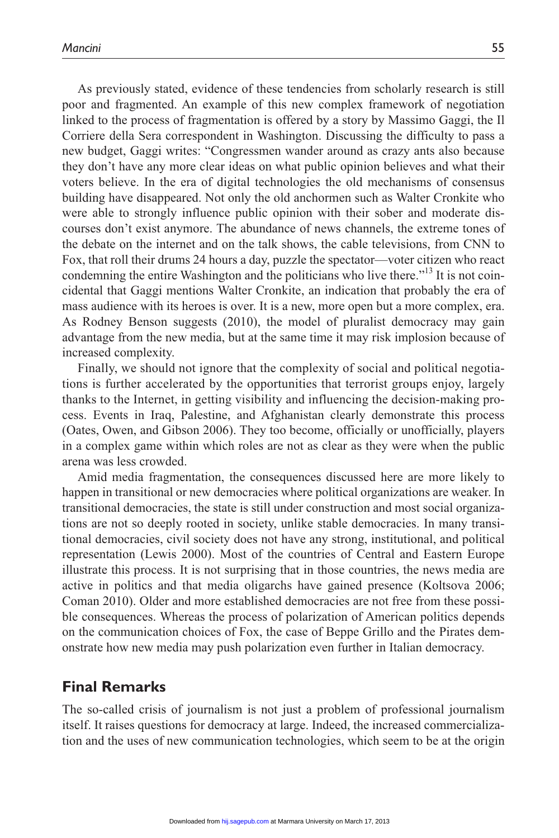As previously stated, evidence of these tendencies from scholarly research is still poor and fragmented. An example of this new complex framework of negotiation linked to the process of fragmentation is offered by a story by Massimo Gaggi, the Il Corriere della Sera correspondent in Washington. Discussing the difficulty to pass a new budget, Gaggi writes: "Congressmen wander around as crazy ants also because they don't have any more clear ideas on what public opinion believes and what their voters believe. In the era of digital technologies the old mechanisms of consensus building have disappeared. Not only the old anchormen such as Walter Cronkite who were able to strongly influence public opinion with their sober and moderate discourses don't exist anymore. The abundance of news channels, the extreme tones of the debate on the internet and on the talk shows, the cable televisions, from CNN to Fox, that roll their drums 24 hours a day, puzzle the spectator—voter citizen who react condemning the entire Washington and the politicians who live there."<sup>13</sup> It is not coincidental that Gaggi mentions Walter Cronkite, an indication that probably the era of mass audience with its heroes is over. It is a new, more open but a more complex, era. As Rodney Benson suggests (2010), the model of pluralist democracy may gain advantage from the new media, but at the same time it may risk implosion because of increased complexity.

Finally, we should not ignore that the complexity of social and political negotiations is further accelerated by the opportunities that terrorist groups enjoy, largely thanks to the Internet, in getting visibility and influencing the decision-making process. Events in Iraq, Palestine, and Afghanistan clearly demonstrate this process (Oates, Owen, and Gibson 2006). They too become, officially or unofficially, players in a complex game within which roles are not as clear as they were when the public arena was less crowded.

Amid media fragmentation, the consequences discussed here are more likely to happen in transitional or new democracies where political organizations are weaker. In transitional democracies, the state is still under construction and most social organizations are not so deeply rooted in society, unlike stable democracies. In many transitional democracies, civil society does not have any strong, institutional, and political representation (Lewis 2000). Most of the countries of Central and Eastern Europe illustrate this process. It is not surprising that in those countries, the news media are active in politics and that media oligarchs have gained presence (Koltsova 2006; Coman 2010). Older and more established democracies are not free from these possible consequences. Whereas the process of polarization of American politics depends on the communication choices of Fox, the case of Beppe Grillo and the Pirates demonstrate how new media may push polarization even further in Italian democracy.

### **Final Remarks**

The so-called crisis of journalism is not just a problem of professional journalism itself. It raises questions for democracy at large. Indeed, the increased commercialization and the uses of new communication technologies, which seem to be at the origin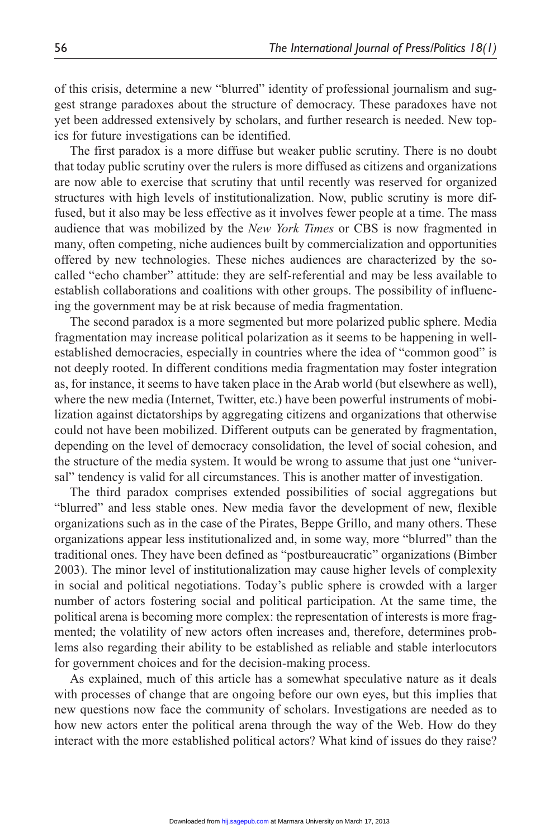of this crisis, determine a new "blurred" identity of professional journalism and suggest strange paradoxes about the structure of democracy. These paradoxes have not yet been addressed extensively by scholars, and further research is needed. New topics for future investigations can be identified.

The first paradox is a more diffuse but weaker public scrutiny. There is no doubt that today public scrutiny over the rulers is more diffused as citizens and organizations are now able to exercise that scrutiny that until recently was reserved for organized structures with high levels of institutionalization. Now, public scrutiny is more diffused, but it also may be less effective as it involves fewer people at a time. The mass audience that was mobilized by the *New York Times* or CBS is now fragmented in many, often competing, niche audiences built by commercialization and opportunities offered by new technologies. These niches audiences are characterized by the socalled "echo chamber" attitude: they are self-referential and may be less available to establish collaborations and coalitions with other groups. The possibility of influencing the government may be at risk because of media fragmentation.

The second paradox is a more segmented but more polarized public sphere. Media fragmentation may increase political polarization as it seems to be happening in wellestablished democracies, especially in countries where the idea of "common good" is not deeply rooted. In different conditions media fragmentation may foster integration as, for instance, it seems to have taken place in the Arab world (but elsewhere as well), where the new media (Internet, Twitter, etc.) have been powerful instruments of mobilization against dictatorships by aggregating citizens and organizations that otherwise could not have been mobilized. Different outputs can be generated by fragmentation, depending on the level of democracy consolidation, the level of social cohesion, and the structure of the media system. It would be wrong to assume that just one "universal" tendency is valid for all circumstances. This is another matter of investigation.

The third paradox comprises extended possibilities of social aggregations but "blurred" and less stable ones. New media favor the development of new, flexible organizations such as in the case of the Pirates, Beppe Grillo, and many others. These organizations appear less institutionalized and, in some way, more "blurred" than the traditional ones. They have been defined as "postbureaucratic" organizations (Bimber 2003). The minor level of institutionalization may cause higher levels of complexity in social and political negotiations. Today's public sphere is crowded with a larger number of actors fostering social and political participation. At the same time, the political arena is becoming more complex: the representation of interests is more fragmented; the volatility of new actors often increases and, therefore, determines problems also regarding their ability to be established as reliable and stable interlocutors for government choices and for the decision-making process.

As explained, much of this article has a somewhat speculative nature as it deals with processes of change that are ongoing before our own eyes, but this implies that new questions now face the community of scholars. Investigations are needed as to how new actors enter the political arena through the way of the Web. How do they interact with the more established political actors? What kind of issues do they raise?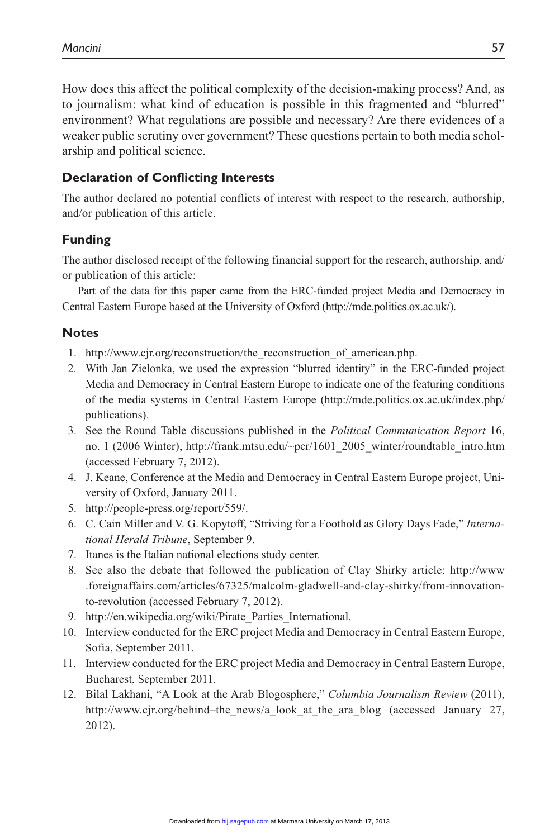How does this affect the political complexity of the decision-making process? And, as to journalism: what kind of education is possible in this fragmented and "blurred" environment? What regulations are possible and necessary? Are there evidences of a weaker public scrutiny over government? These questions pertain to both media scholarship and political science.

#### **Declaration of Conflicting Interests**

The author declared no potential conflicts of interest with respect to the research, authorship, and/or publication of this article.

#### **Funding**

The author disclosed receipt of the following financial support for the research, authorship, and/ or publication of this article:

Part of the data for this paper came from the ERC-funded project Media and Democracy in Central Eastern Europe based at the University of Oxford (http://mde.politics.ox.ac.uk/).

#### **Notes**

- 1. http://www.cjr.org/reconstruction/the reconstruction of american.php.
- 2. With Jan Zielonka, we used the expression "blurred identity" in the ERC-funded project Media and Democracy in Central Eastern Europe to indicate one of the featuring conditions of the media systems in Central Eastern Europe (http://mde.politics.ox.ac.uk/index.php/ publications).
- 3. See the Round Table discussions published in the *Political Communication Report* 16, no. 1 (2006 Winter), http://frank.mtsu.edu/~pcr/1601\_2005\_winter/roundtable\_intro.htm (accessed February 7, 2012).
- 4. J. Keane, Conference at the Media and Democracy in Central Eastern Europe project, University of Oxford, January 2011.
- 5. http://people-press.org/report/559/.
- 6. C. Cain Miller and V. G. Kopytoff, "Striving for a Foothold as Glory Days Fade," *International Herald Tribune*, September 9.
- 7. Itanes is the Italian national elections study center.
- 8. See also the debate that followed the publication of Clay Shirky article: http://www .foreignaffairs.com/articles/67325/malcolm-gladwell-and-clay-shirky/from-innovationto-revolution (accessed February 7, 2012).
- 9. http://en.wikipedia.org/wiki/Pirate\_Parties\_International.
- 10. Interview conducted for the ERC project Media and Democracy in Central Eastern Europe, Sofia, September 2011.
- 11. Interview conducted for the ERC project Media and Democracy in Central Eastern Europe, Bucharest, September 2011.
- 12. Bilal Lakhani, "A Look at the Arab Blogosphere," *Columbia Journalism Review* (2011), http://www.cjr.org/behind–the\_news/a\_look\_at\_the\_ara\_blog (accessed January 27, 2012).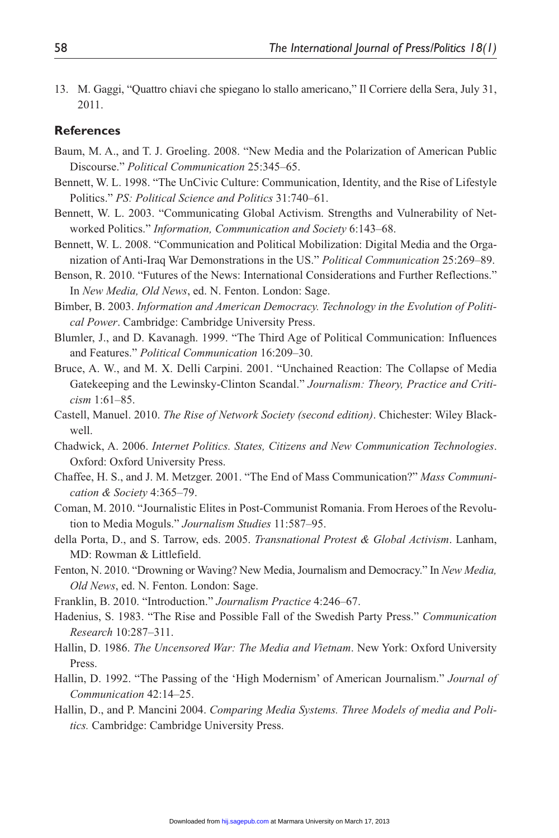13. M. Gaggi, "Quattro chiavi che spiegano lo stallo americano," Il Corriere della Sera, July 31, 2011.

#### **References**

- Baum, M. A., and T. J. Groeling. 2008. "New Media and the Polarization of American Public Discourse." *Political Communication* 25:345–65.
- Bennett, W. L. 1998. "The UnCivic Culture: Communication, Identity, and the Rise of Lifestyle Politics." *PS: Political Science and Politics* 31:740–61.
- Bennett, W. L. 2003. "Communicating Global Activism. Strengths and Vulnerability of Networked Politics." *Information, Communication and Society* 6:143–68.
- Bennett, W. L. 2008. "Communication and Political Mobilization: Digital Media and the Organization of Anti-Iraq War Demonstrations in the US." *Political Communication* 25:269–89.
- Benson, R. 2010. "Futures of the News: International Considerations and Further Reflections." In *New Media, Old News*, ed. N. Fenton. London: Sage.
- Bimber, B. 2003. *Information and American Democracy. Technology in the Evolution of Political Power*. Cambridge: Cambridge University Press.
- Blumler, J., and D. Kavanagh. 1999. "The Third Age of Political Communication: Influences and Features." *Political Communication* 16:209–30.
- Bruce, A. W., and M. X. Delli Carpini. 2001. "Unchained Reaction: The Collapse of Media Gatekeeping and the Lewinsky-Clinton Scandal." *Journalism: Theory, Practice and Criticism* 1:61–85.
- Castell, Manuel. 2010. *The Rise of Network Society (second edition)*. Chichester: Wiley Blackwell.
- Chadwick, A. 2006. *Internet Politics. States, Citizens and New Communication Technologies*. Oxford: Oxford University Press.
- Chaffee, H. S., and J. M. Metzger. 2001. "The End of Mass Communication?" *Mass Communication & Society* 4:365–79.
- Coman, M. 2010. "Journalistic Elites in Post-Communist Romania. From Heroes of the Revolution to Media Moguls." *Journalism Studies* 11:587–95.
- della Porta, D., and S. Tarrow, eds. 2005. *Transnational Protest & Global Activism*. Lanham, MD: Rowman & Littlefield.
- Fenton, N. 2010. "Drowning or Waving? New Media, Journalism and Democracy." In *New Media, Old News*, ed. N. Fenton. London: Sage.
- Franklin, B. 2010. "Introduction." *Journalism Practice* 4:246–67.
- Hadenius, S. 1983. "The Rise and Possible Fall of the Swedish Party Press." *Communication Research* 10:287–311.
- Hallin, D. 1986. *The Uncensored War: The Media and Vietnam*. New York: Oxford University Press.
- Hallin, D. 1992. "The Passing of the 'High Modernism' of American Journalism." *Journal of Communication* 42:14–25.
- Hallin, D., and P. Mancini 2004. *Comparing Media Systems. Three Models of media and Politics.* Cambridge: Cambridge University Press.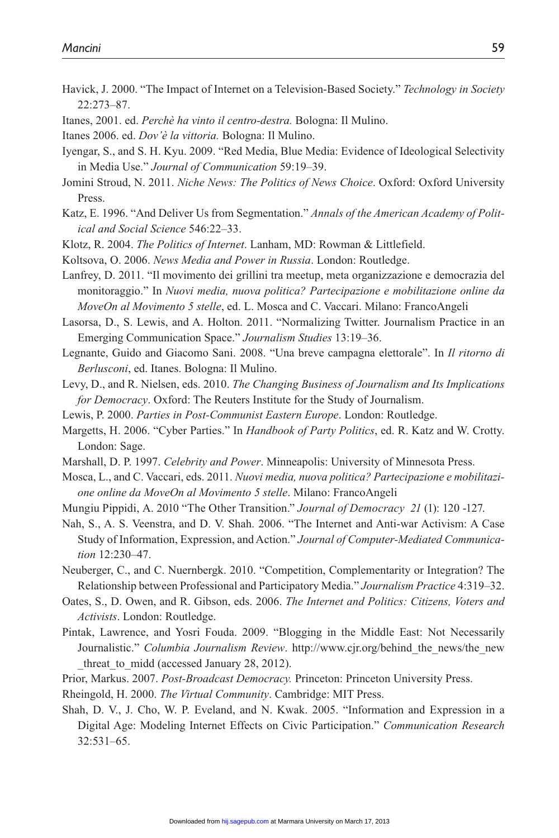- Havick, J. 2000. "The Impact of Internet on a Television-Based Society." *Technology in Society* 22:273–87.
- Itanes, 2001. ed. *Perchè ha vinto il centro-destra.* Bologna: Il Mulino.
- Itanes 2006. ed. *Dov'è la vittoria.* Bologna: Il Mulino.
- Iyengar, S., and S. H. Kyu. 2009. "Red Media, Blue Media: Evidence of Ideological Selectivity in Media Use." *Journal of Communication* 59:19–39.
- Jomini Stroud, N. 2011. *Niche News: The Politics of News Choice*. Oxford: Oxford University Press.
- Katz, E. 1996. "And Deliver Us from Segmentation." *Annals of the American Academy of Political and Social Science* 546:22–33.
- Klotz, R. 2004. *The Politics of Internet*. Lanham, MD: Rowman & Littlefield.
- Koltsova, O. 2006. *News Media and Power in Russia*. London: Routledge.
- Lanfrey, D. 2011. "Il movimento dei grillini tra meetup, meta organizzazione e democrazia del monitoraggio." In *Nuovi media, nuova politica? Partecipazione e mobilitazione online da MoveOn al Movimento 5 stelle*, ed. L. Mosca and C. Vaccari. Milano: FrancoAngeli
- Lasorsa, D., S. Lewis, and A. Holton. 2011. "Normalizing Twitter. Journalism Practice in an Emerging Communication Space." *Journalism Studies* 13:19–36.
- Legnante, Guido and Giacomo Sani. 2008. "Una breve campagna elettorale". In *Il ritorno di Berlusconi*, ed. Itanes. Bologna: Il Mulino.
- Levy, D., and R. Nielsen, eds. 2010. *The Changing Business of Journalism and Its Implications for Democracy*. Oxford: The Reuters Institute for the Study of Journalism.
- Lewis, P. 2000. *Parties in Post-Communist Eastern Europe*. London: Routledge.
- Margetts, H. 2006. "Cyber Parties." In *Handbook of Party Politics*, ed. R. Katz and W. Crotty. London: Sage.
- Marshall, D. P. 1997. *Celebrity and Power*. Minneapolis: University of Minnesota Press.
- Mosca, L., and C. Vaccari, eds. 2011. *Nuovi media, nuova politica? Partecipazione e mobilitazione online da MoveOn al Movimento 5 stelle*. Milano: FrancoAngeli
- Mungiu Pippidi, A. 2010 "The Other Transition." *Journal of Democracy 21* (1): 120 -127.
- Nah, S., A. S. Veenstra, and D. V. Shah. 2006. "The Internet and Anti-war Activism: A Case Study of Information, Expression, and Action." *Journal of Computer-Mediated Communication* 12:230–47.
- Neuberger, C., and C. Nuernbergk. 2010. "Competition, Complementarity or Integration? The Relationship between Professional and Participatory Media." *Journalism Practice* 4:319–32.
- Oates, S., D. Owen, and R. Gibson, eds. 2006. *The Internet and Politics: Citizens, Voters and Activists*. London: Routledge.
- Pintak, Lawrence, and Yosri Fouda. 2009. "Blogging in the Middle East: Not Necessarily Journalistic." *Columbia Journalism Review*. http://www.cjr.org/behind\_the\_news/the\_new threat to midd (accessed January 28, 2012).
- Prior, Markus. 2007. *Post-Broadcast Democracy.* Princeton: Princeton University Press.
- Rheingold, H. 2000. *The Virtual Community*. Cambridge: MIT Press.
- Shah, D. V., J. Cho, W. P. Eveland, and N. Kwak. 2005. "Information and Expression in a Digital Age: Modeling Internet Effects on Civic Participation." *Communication Research* 32:531–65.